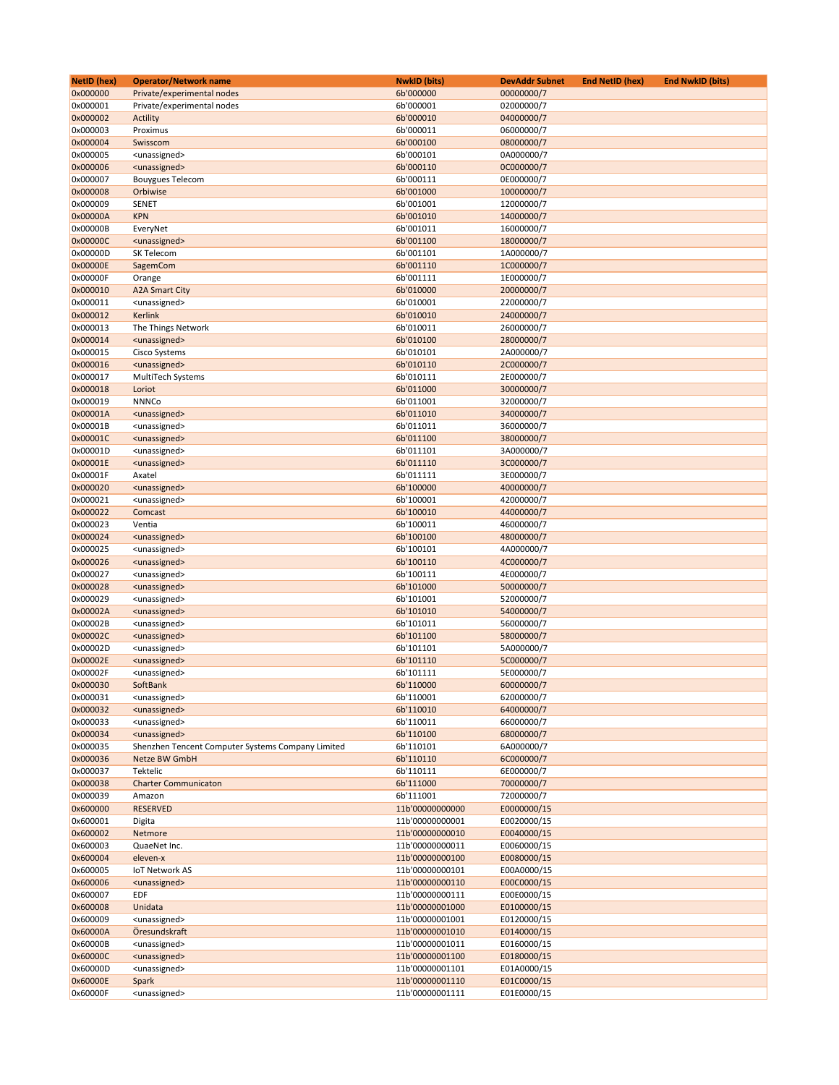| <b>NetID</b> (hex) | <b>Operator/Network name</b>                      | <b>NwkID</b> (bits) | <b>DevAddr Subnet</b> | <b>End NetID (hex)</b> | <b>End NwkID (bits)</b> |
|--------------------|---------------------------------------------------|---------------------|-----------------------|------------------------|-------------------------|
| 0x000000           | Private/experimental nodes                        | 6b'000000           | 00000000/7            |                        |                         |
| 0x000001           | Private/experimental nodes                        | 6b'000001           | 02000000/7            |                        |                         |
| 0x000002           | Actility                                          | 6b'000010           | 04000000/7            |                        |                         |
| 0x000003           | Proximus                                          | 6b'000011           | 06000000/7            |                        |                         |
| 0x000004           | Swisscom                                          | 6b'000100           | 08000000/7            |                        |                         |
| 0x000005           | <unassigned></unassigned>                         | 6b'000101           | 0A000000/7            |                        |                         |
| 0x000006           | <unassigned></unassigned>                         | 6b'000110           | 0C000000/7            |                        |                         |
| 0x000007           | <b>Bouygues Telecom</b>                           | 6b'000111           | 0E000000/7            |                        |                         |
| 0x000008           | Orbiwise                                          | 6b'001000           | 10000000/7            |                        |                         |
| 0x000009           | <b>SENET</b>                                      | 6b'001001           | 12000000/7            |                        |                         |
| 0x00000A           | <b>KPN</b>                                        | 6b'001010           | 14000000/7            |                        |                         |
| 0x00000B           | EveryNet                                          | 6b'001011           | 16000000/7            |                        |                         |
| 0x00000C           | <unassigned></unassigned>                         | 6b'001100           | 18000000/7            |                        |                         |
| 0x00000D           | SK Telecom                                        | 6b'001101           | 1A000000/7            |                        |                         |
| 0x00000E           | SagemCom                                          | 6b'001110           | 1C000000/7            |                        |                         |
| 0x00000F           |                                                   | 6b'001111           | 1E000000/7            |                        |                         |
|                    | Orange                                            |                     |                       |                        |                         |
| 0x000010           | <b>A2A Smart City</b>                             | 6b'010000           | 20000000/7            |                        |                         |
| 0x000011           | <unassigned></unassigned>                         | 6b'010001           | 22000000/7            |                        |                         |
| 0x000012           | Kerlink                                           | 6b'010010           | 24000000/7            |                        |                         |
| 0x000013           | The Things Network                                | 6b'010011           | 26000000/7            |                        |                         |
| 0x000014           | <unassigned></unassigned>                         | 6b'010100           | 28000000/7            |                        |                         |
| 0x000015           | <b>Cisco Systems</b>                              | 6b'010101           | 2A000000/7            |                        |                         |
| 0x000016           | <unassigned></unassigned>                         | 6b'010110           | 2C000000/7            |                        |                         |
| 0x000017           | MultiTech Systems                                 | 6b'010111           | 2E000000/7            |                        |                         |
| 0x000018           | Loriot                                            | 6b'011000           | 30000000/7            |                        |                         |
| 0x000019           | <b>NNNCo</b>                                      | 6b'011001           | 32000000/7            |                        |                         |
| 0x00001A           | <unassigned></unassigned>                         | 6b'011010           | 34000000/7            |                        |                         |
| 0x00001B           | <unassigned></unassigned>                         | 6b'011011           | 36000000/7            |                        |                         |
| 0x00001C           | <unassigned></unassigned>                         | 6b'011100           | 38000000/7            |                        |                         |
| 0x00001D           | <unassigned></unassigned>                         | 6b'011101           | 3A000000/7            |                        |                         |
| 0x00001E           | <unassigned></unassigned>                         | 6b'011110           | 3C000000/7            |                        |                         |
| 0x00001F           | Axatel                                            | 6b'011111           | 3E000000/7            |                        |                         |
| 0x000020           | <unassigned></unassigned>                         | 6b'100000           | 40000000/7            |                        |                         |
| 0x000021           | <unassigned></unassigned>                         | 6b'100001           | 42000000/7            |                        |                         |
| 0x000022           | Comcast                                           | 6b'100010           | 44000000/7            |                        |                         |
| 0x000023           | Ventia                                            | 6b'100011           | 46000000/7            |                        |                         |
| 0x000024           |                                                   | 6b'100100           | 48000000/7            |                        |                         |
|                    | <unassigned></unassigned>                         |                     |                       |                        |                         |
| 0x000025           | <unassigned></unassigned>                         | 6b'100101           | 4A000000/7            |                        |                         |
| 0x000026           | <unassigned></unassigned>                         | 6b'100110           | 4C000000/7            |                        |                         |
| 0x000027           | <unassigned></unassigned>                         | 6b'100111           | 4E000000/7            |                        |                         |
| 0x000028           | <unassigned></unassigned>                         | 6b'101000           | 50000000/7            |                        |                         |
| 0x000029           | <unassigned></unassigned>                         | 6b'101001           | 52000000/7            |                        |                         |
| 0x00002A           | <unassigned></unassigned>                         | 6b'101010           | 54000000/7            |                        |                         |
| 0x00002B           | <unassigned></unassigned>                         | 6b'101011           | 56000000/7            |                        |                         |
| 0x00002C           | <unassigned></unassigned>                         | 6b'101100           | 58000000/7            |                        |                         |
| 0x00002D           | <unassigned></unassigned>                         | 6b'101101           | 5A000000/7            |                        |                         |
| 0x00002E           | <unassigned></unassigned>                         | 6b'101110           | 5C000000/7            |                        |                         |
| 0x00002F           | <unassigned></unassigned>                         | 6b'101111           | 5E000000/7            |                        |                         |
| 0x000030           | SoftBank                                          | 6b'110000           | 60000000/7            |                        |                         |
| 0x000031           | <unassigned></unassigned>                         | 6b'110001           | 62000000/7            |                        |                         |
| 0x000032           | <unassigned></unassigned>                         | 6b'110010           | 64000000/7            |                        |                         |
| 0x000033           | <unassigned></unassigned>                         | 6b'110011           | 66000000/7            |                        |                         |
| 0x000034           | <unassigned></unassigned>                         | 6b'110100           | 68000000/7            |                        |                         |
| 0x000035           | Shenzhen Tencent Computer Systems Company Limited | 6b'110101           | 6A000000/7            |                        |                         |
| 0x000036           | Netze BW GmbH                                     | 6b'110110           | 6C000000/7            |                        |                         |
| 0x000037           | Tektelic                                          | 6b'110111           | 6E000000/7            |                        |                         |
| 0x000038           |                                                   |                     | 70000000/7            |                        |                         |
|                    | <b>Charter Communicaton</b>                       | 6b'111000           |                       |                        |                         |
| 0x000039           | Amazon                                            | 6b'111001           | 72000000/7            |                        |                         |
| 0x600000           | <b>RESERVED</b>                                   | 11b'00000000000     | E0000000/15           |                        |                         |
| 0x600001           | Digita                                            | 11b'00000000001     | E0020000/15           |                        |                         |
| 0x600002           | Netmore                                           | 11b'00000000010     | E0040000/15           |                        |                         |
| 0x600003           | QuaeNet Inc.                                      | 11b'00000000011     | E0060000/15           |                        |                         |
| 0x600004           | eleven-x                                          | 11b'00000000100     | E0080000/15           |                        |                         |
| 0x600005           | <b>IoT Network AS</b>                             | 11b'00000000101     | E00A0000/15           |                        |                         |
| 0x600006           | <unassigned></unassigned>                         | 11b'00000000110     | E00C0000/15           |                        |                         |
| 0x600007           | EDF                                               | 11b'00000000111     | E00E0000/15           |                        |                         |
| 0x600008           | Unidata                                           | 11b'00000001000     | E0100000/15           |                        |                         |
| 0x600009           | <unassigned></unassigned>                         | 11b'00000001001     | E0120000/15           |                        |                         |
| 0x60000A           | Öresundskraft                                     | 11b'00000001010     | E0140000/15           |                        |                         |
| 0x60000B           | <unassigned></unassigned>                         | 11b'00000001011     | E0160000/15           |                        |                         |
| 0x60000C           | <unassigned></unassigned>                         | 11b'00000001100     | E0180000/15           |                        |                         |
| 0x60000D           | <unassigned></unassigned>                         | 11b'00000001101     | E01A0000/15           |                        |                         |
| 0x60000E           | Spark                                             | 11b'00000001110     | E01C0000/15           |                        |                         |
| 0x60000F           | <unassigned></unassigned>                         | 11b'00000001111     | E01E0000/15           |                        |                         |
|                    |                                                   |                     |                       |                        |                         |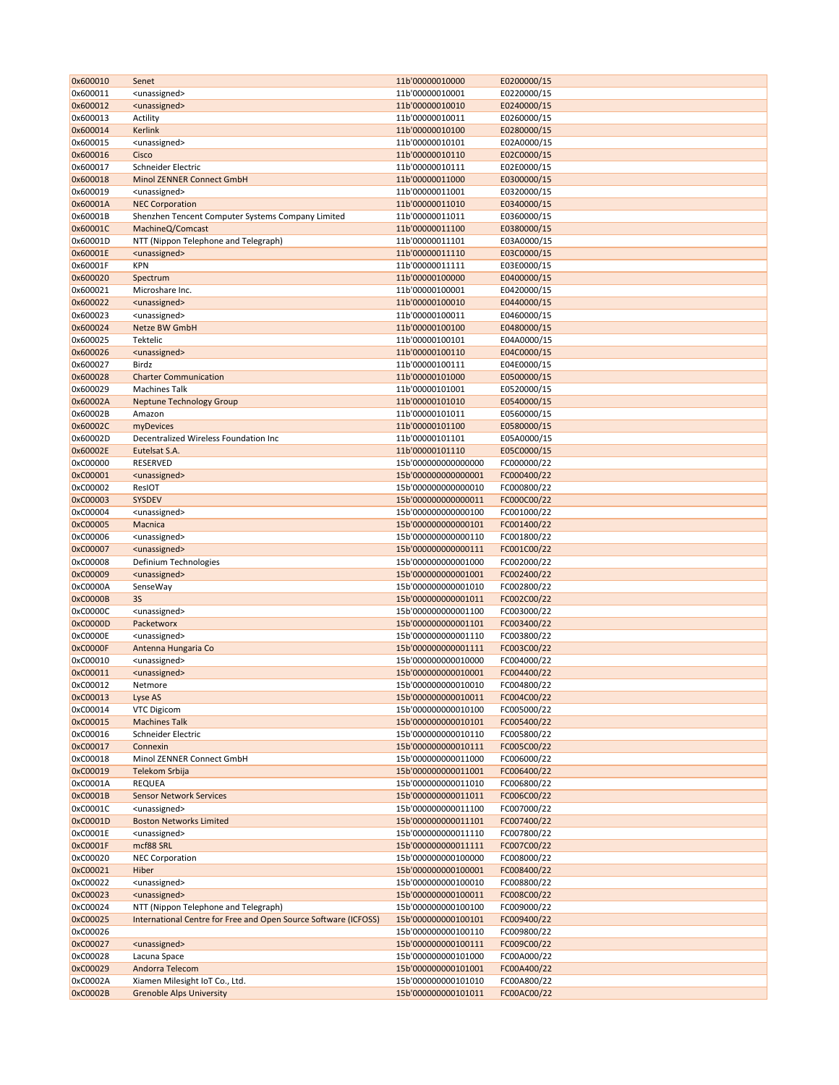| 0x600010 | Senet                                                           | 11b'00000010000     | E0200000/15 |
|----------|-----------------------------------------------------------------|---------------------|-------------|
| 0x600011 | <unassigned></unassigned>                                       | 11b'00000010001     | E0220000/15 |
| 0x600012 | <unassigned></unassigned>                                       | 11b'00000010010     | E0240000/15 |
| 0x600013 | Actility                                                        | 11b'00000010011     | E0260000/15 |
| 0x600014 | Kerlink                                                         | 11b'00000010100     | E0280000/15 |
| 0x600015 | <unassigned></unassigned>                                       | 11b'00000010101     | E02A0000/15 |
| 0x600016 | Cisco                                                           | 11b'00000010110     | E02C0000/15 |
| 0x600017 | Schneider Electric                                              | 11b'00000010111     | E02E0000/15 |
| 0x600018 | Minol ZENNER Connect GmbH                                       | 11b'00000011000     | E0300000/15 |
| 0x600019 | <unassigned></unassigned>                                       | 11b'00000011001     | E0320000/15 |
| 0x60001A | <b>NEC Corporation</b>                                          | 11b'00000011010     | E0340000/15 |
| 0x60001B | Shenzhen Tencent Computer Systems Company Limited               | 11b'00000011011     | E0360000/15 |
| 0x60001C | MachineQ/Comcast                                                | 11b'00000011100     | E0380000/15 |
| 0x60001D | NTT (Nippon Telephone and Telegraph)                            | 11b'00000011101     | E03A0000/15 |
| 0x60001E | <unassigned></unassigned>                                       | 11b'00000011110     | E03C0000/15 |
| 0x60001F | <b>KPN</b>                                                      | 11b'00000011111     | E03E0000/15 |
| 0x600020 |                                                                 | 11b'00000100000     | E0400000/15 |
| 0x600021 | Spectrum                                                        | 11b'00000100001     | E0420000/15 |
|          | Microshare Inc.                                                 |                     |             |
| 0x600022 | <unassigned></unassigned>                                       | 11b'00000100010     | E0440000/15 |
| 0x600023 | <unassigned></unassigned>                                       | 11b'00000100011     | E0460000/15 |
| 0x600024 | Netze BW GmbH                                                   | 11b'00000100100     | E0480000/15 |
| 0x600025 | Tektelic                                                        | 11b'00000100101     | E04A0000/15 |
| 0x600026 | <unassigned></unassigned>                                       | 11b'00000100110     | E04C0000/15 |
| 0x600027 | Birdz                                                           | 11b'00000100111     | E04E0000/15 |
| 0x600028 | <b>Charter Communication</b>                                    | 11b'00000101000     | E0500000/15 |
| 0x600029 | <b>Machines Talk</b>                                            | 11b'00000101001     | E0520000/15 |
| 0x60002A | <b>Neptune Technology Group</b>                                 | 11b'00000101010     | E0540000/15 |
| 0x60002B | Amazon                                                          | 11b'00000101011     | E0560000/15 |
| 0x60002C | myDevices                                                       | 11b'00000101100     | E0580000/15 |
| 0x60002D | Decentralized Wireless Foundation Inc                           | 11b'00000101101     | E05A0000/15 |
| 0x60002E | Eutelsat S.A.                                                   | 11b'00000101110     | E05C0000/15 |
| 0xC00000 | RESERVED                                                        | 15b'000000000000000 | FC000000/22 |
| 0xC00001 | <unassigned></unassigned>                                       | 15b'000000000000001 | FC000400/22 |
| 0xC00002 | ResIOT                                                          | 15b'000000000000010 | FC000800/22 |
| 0xC00003 | SYSDEV                                                          | 15b'000000000000011 | FC000C00/22 |
| 0xC00004 | <unassigned></unassigned>                                       | 15b'000000000000100 | FC001000/22 |
| 0xC00005 | Macnica                                                         | 15b'000000000000101 | FC001400/22 |
| 0xC00006 | <unassigned></unassigned>                                       | 15b'000000000000110 | FC001800/22 |
| 0xC00007 | <unassigned></unassigned>                                       | 15b'000000000000111 | FC001C00/22 |
| 0xC00008 | Definium Technologies                                           | 15b'000000000001000 | FC002000/22 |
| 0xC00009 | <unassigned></unassigned>                                       | 15b'000000000001001 | FC002400/22 |
| 0xC0000A | SenseWay                                                        | 15b'000000000001010 | FC002800/22 |
| 0xC0000B | <b>3S</b>                                                       | 15b'000000000001011 | FC002C00/22 |
| 0xC0000C | <unassigned></unassigned>                                       | 15b'000000000001100 | FC003000/22 |
| 0xC0000D | Packetworx                                                      | 15b'000000000001101 | FC003400/22 |
| 0xC0000E | <unassigned></unassigned>                                       | 15b'000000000001110 | FC003800/22 |
| 0xC0000F | Antenna Hungaria Co                                             | 15b'000000000001111 | FC003C00/22 |
| 0xC00010 | <unassigned></unassigned>                                       | 15b'000000000010000 | FC004000/22 |
| 0xC00011 | <unassigned></unassigned>                                       | 15b'000000000010001 | FC004400/22 |
| 0xC00012 | Netmore                                                         | 15b'000000000010010 | FC004800/22 |
| 0xC00013 | Lyse AS                                                         | 15b'000000000010011 | FC004C00/22 |
| 0xC00014 | VTC Digicom                                                     | 15b'000000000010100 | FC005000/22 |
| 0xC00015 | <b>Machines Talk</b>                                            | 15b'000000000010101 | FC005400/22 |
| 0xC00016 | Schneider Electric                                              | 15b'000000000010110 | FC005800/22 |
| 0xC00017 | Connexin                                                        | 15b'000000000010111 | FC005C00/22 |
| 0xC00018 | Minol ZENNER Connect GmbH                                       | 15b'000000000011000 | FC006000/22 |
| 0xC00019 | Telekom Srbija                                                  | 15b'000000000011001 | FC006400/22 |
| 0xC0001A | <b>REQUEA</b>                                                   | 15b'000000000011010 | FC006800/22 |
| 0xC0001B | <b>Sensor Network Services</b>                                  | 15b'000000000011011 | FC006C00/22 |
| 0xC0001C | <unassigned></unassigned>                                       | 15b'000000000011100 | FC007000/22 |
| 0xC0001D | <b>Boston Networks Limited</b>                                  | 15b'000000000011101 | FC007400/22 |
| 0xC0001E | <unassigned></unassigned>                                       | 15b'000000000011110 | FC007800/22 |
| 0xC0001F | mcf88 SRL                                                       | 15b'000000000011111 | FC007C00/22 |
| 0xC00020 | <b>NEC Corporation</b>                                          | 15b'000000000100000 | FC008000/22 |
|          |                                                                 |                     |             |
| 0xC00021 | Hiber                                                           | 15b'000000000100001 | FC008400/22 |
| 0xC00022 | <unassigned></unassigned>                                       | 15b'000000000100010 | FC008800/22 |
| 0xC00023 | <unassigned></unassigned>                                       | 15b'000000000100011 | FC008C00/22 |
| 0xC00024 | NTT (Nippon Telephone and Telegraph)                            | 15b'000000000100100 | FC009000/22 |
| 0xC00025 | International Centre for Free and Open Source Software (ICFOSS) | 15b'000000000100101 | FC009400/22 |
| 0xC00026 |                                                                 | 15b'000000000100110 | FC009800/22 |
| 0xC00027 | <unassigned></unassigned>                                       | 15b'000000000100111 | FC009C00/22 |
| 0xC00028 | Lacuna Space                                                    | 15b'000000000101000 | FC00A000/22 |
| 0xC00029 | Andorra Telecom                                                 | 15b'000000000101001 | FC00A400/22 |
| 0xC0002A | Xiamen Milesight IoT Co., Ltd.                                  | 15b'000000000101010 | FC00A800/22 |
| 0xC0002B | <b>Grenoble Alps University</b>                                 | 15b'000000000101011 | FC00AC00/22 |